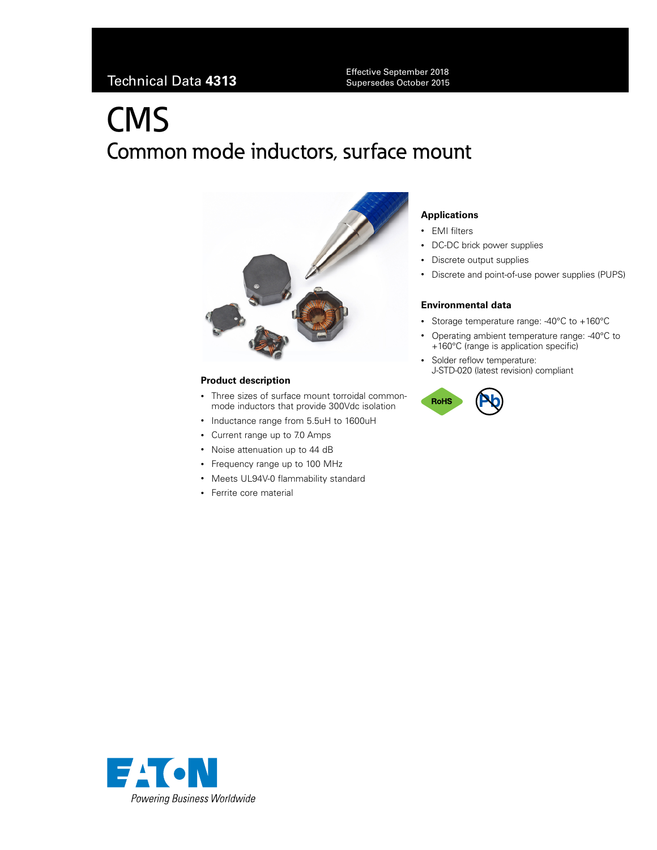Technical Data **<sup>4313</sup>** Effective September 2018 Supersedes October 2015

# **CMS** Common mode inductors, surface mount



#### **Product description**

- Three sizes of surface mount torroidal commonmode inductors that provide 300Vdc isolation
- Inductance range from 5.5uH to 1600uH
- Current range up to 7.0 Amps
- Noise attenuation up to 44 dB
- Frequency range up to 100 MHz
- Meets UL94V-0 flammability standard
- Ferrite core material

#### **Applications**

- EMI filters
- DC-DC brick power supplies
- Discrete output supplies
- Discrete and point-of-use power supplies (PUPS)

#### **Environmental data**

- Storage temperature range: -40°C to +160°C
- Operating ambient temperature range: -40°C to +160°C (range is application specific)
- Solder reflow temperature: J-STD-020 (latest revision) compliant



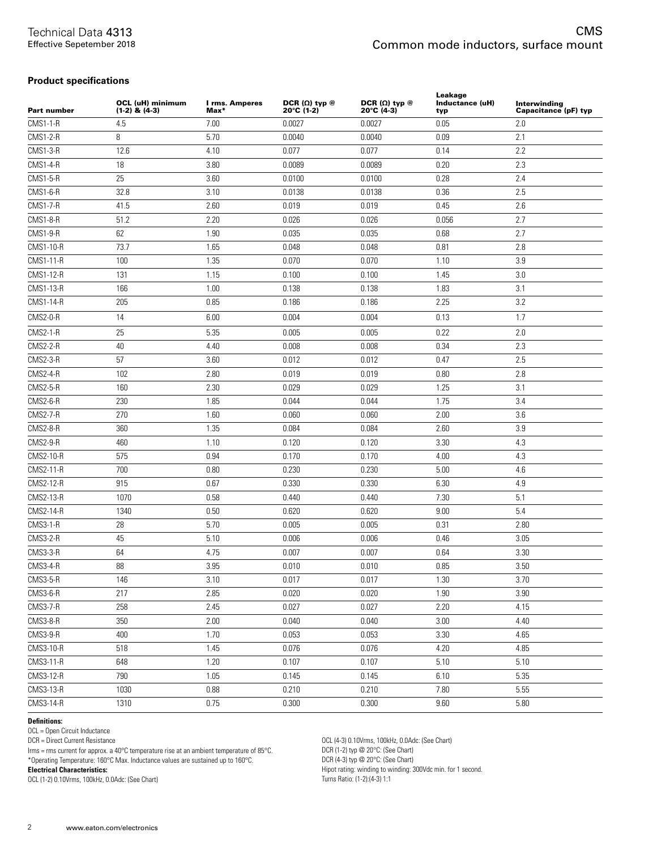#### **Product specifications**

| <b>Part number</b> | OCL (uH) minimum<br>$(1-2)$ & $(4-3)$ | I rms. Amperes<br>$Max*$ | DCR $(\Omega)$ typ $@$<br>20°C (1-2) | DCR $(\Omega)$ typ $@$<br>20°C (4-3) | Leakage<br>Inductance (uH)<br>typ | Interwinding<br>Capacitance (pF) typ |
|--------------------|---------------------------------------|--------------------------|--------------------------------------|--------------------------------------|-----------------------------------|--------------------------------------|
| <b>CMS1-1-R</b>    | 4.5                                   | 7.00                     | 0.0027                               | 0.0027                               | 0.05                              | 2.0                                  |
| <b>CMS1-2-R</b>    | 8                                     | 5.70                     | 0.0040                               | 0.0040                               | 0.09                              | 2.1                                  |
| <b>CMS1-3-R</b>    | 12.6                                  | 4.10                     | 0.077                                | 0.077                                | 0.14                              | 2.2                                  |
| <b>CMS1-4-R</b>    | 18                                    | 3.80                     | 0.0089                               | 0.0089                               | 0.20                              | 2.3                                  |
| <b>CMS1-5-R</b>    | 25                                    | 3.60                     | 0.0100                               | 0.0100                               | 0.28                              | 2.4                                  |
| <b>CMS1-6-R</b>    | 32.8                                  | 3.10                     | 0.0138                               | 0.0138                               | 0.36                              | 2.5                                  |
| <b>CMS1-7-R</b>    | 41.5                                  | 2.60                     | 0.019                                | 0.019                                | 0.45                              | 2.6                                  |
| <b>CMS1-8-R</b>    | 51.2                                  | 2.20                     | 0.026                                | 0.026                                | 0.056                             | 2.7                                  |
| <b>CMS1-9-R</b>    | 62                                    | 1.90                     | 0.035                                | 0.035                                | 0.68                              | 2.7                                  |
| <b>CMS1-10-R</b>   | 73.7                                  | 1.65                     | 0.048                                | 0.048                                | 0.81                              | 2.8                                  |
| <b>CMS1-11-R</b>   | 100                                   | 1.35                     | 0.070                                | 0.070                                | 1.10                              | 3.9                                  |
| CMS1-12-R          | 131                                   | 1.15                     | 0.100                                | 0.100                                | 1.45                              | 3.0                                  |
| CMS1-13-R          | 166                                   | 1.00                     | 0.138                                | 0.138                                | 1.83                              | 3.1                                  |
| CMS1-14-R          | 205                                   | 0.85                     | 0.186                                | 0.186                                | 2.25                              | 3.2                                  |
| CMS2-0-R           | 14                                    | 6.00                     | 0.004                                | 0.004                                | 0.13                              | 1.7                                  |
| <b>CMS2-1-R</b>    | 25                                    | 5.35                     | 0.005                                | 0.005                                | 0.22                              | 2.0                                  |
| CMS2-2-R           | 40                                    | 4.40                     | 0.008                                | 0.008                                | 0.34                              | 2.3                                  |
| CMS2-3-R           | 57                                    | 3.60                     | 0.012                                | 0.012                                | 0.47                              | 2.5                                  |
| CMS2-4-R           | 102                                   | 2.80                     | 0.019                                | 0.019                                | 0.80                              | 2.8                                  |
| CMS2-5-R           | 160                                   | 2.30                     | 0.029                                | 0.029                                | 1.25                              | 3.1                                  |
| CMS2-6-R           | 230                                   | 1.85                     | 0.044                                | 0.044                                | 1.75                              | 3.4                                  |
| CMS2-7-R           | 270                                   | 1.60                     | 0.060                                | 0.060                                | 2.00                              | 3.6                                  |
| CMS2-8-R           | 360                                   | 1.35                     | 0.084                                | 0.084                                | 2.60                              | 3.9                                  |
| CMS2-9-R           | 460                                   | 1.10                     | 0.120                                | 0.120                                | 3.30                              | 4.3                                  |
| CMS2-10-R          | 575                                   | 0.94                     | 0.170                                | 0.170                                | 4.00                              | 4.3                                  |
| CMS2-11-R          | 700                                   | 0.80                     | 0.230                                | 0.230                                | 5.00                              | 4.6                                  |
| CMS2-12-R          | 915                                   | 0.67                     | 0.330                                | 0.330                                | 6.30                              | 4.9                                  |
| CMS2-13-R          | 1070                                  | 0.58                     | 0.440                                | 0.440                                | 7.30                              | 5.1                                  |
| <b>CMS2-14-R</b>   | 1340                                  | 0.50                     | 0.620                                | 0.620                                | 9.00                              | 5.4                                  |
| <b>CMS3-1-R</b>    | 28                                    | 5.70                     | 0.005                                | 0.005                                | 0.31                              | 2.80                                 |
| CMS3-2-R           | 45                                    | 5.10                     | 0.006                                | 0.006                                | 0.46                              | 3.05                                 |
| <b>CMS3-3-R</b>    | 64                                    | 4.75                     | 0.007                                | 0.007                                | 0.64                              | 3.30                                 |
| CMS3-4-R           | 88                                    | 3.95                     | 0.010                                | 0.010                                | 0.85                              | 3.50                                 |
| CMS3-5-R           | 146                                   | 3.10                     | 0.017                                | 0.017                                | 1.30                              | 3.70                                 |
| CMS3-6-R           | 217                                   | 2.85                     | 0.020                                | 0.020                                | 1.90                              | 3.90                                 |
| <b>CMS3-7-R</b>    | 258                                   | 2.45                     | 0.027                                | 0.027                                | 2.20                              | 4.15                                 |
| CMS3-8-R           | 350                                   | 2.00                     | 0.040                                | 0.040                                | 3.00                              | 4.40                                 |
| CMS3-9-R           | 400                                   | 1.70                     | 0.053                                | 0.053                                | 3.30                              | 4.65                                 |
| CMS3-10-R          | 518                                   | 1.45                     | 0.076                                | 0.076                                | 4.20                              | 4.85                                 |
| CMS3-11-R          | 648                                   | 1.20                     | 0.107                                | 0.107                                | 5.10                              | 5.10                                 |
| CMS3-12-R          | 790                                   | 1.05                     | 0.145                                | 0.145                                | 6.10                              | 5.35                                 |
| CMS3-13-R          | 1030                                  | 0.88                     | 0.210                                | 0.210                                | 7.80                              | 5.55                                 |
| CMS3-14-R          | 1310                                  | 0.75                     | 0.300                                | 0.300                                | 9.60                              | 5.80                                 |

#### **Definitions:**

OCL = Open Circuit Inductance

DCR = Direct Current Resistance

Irms = rms current for approx. a 40°C temperature rise at an ambient temperature of 85°C.

\*Operating Temperature: 160°C Max. Inductance values are sustained up to 160°C.

**Electrical Characteristics:**

OCL (1-2) 0.10Vrms, 100kHz, 0.0Adc: (See Chart)

OCL (4-3) 0.10Vrms, 100kHz, 0.0Adc: (See Chart) DCR (1-2) typ @ 20°C: (See Chart) DCR (4-3) typ @ 20°C: (See Chart) Hipot rating: winding to winding: 300Vdc min. for 1 second. Turns Ratio: (1-2):(4-3) 1:1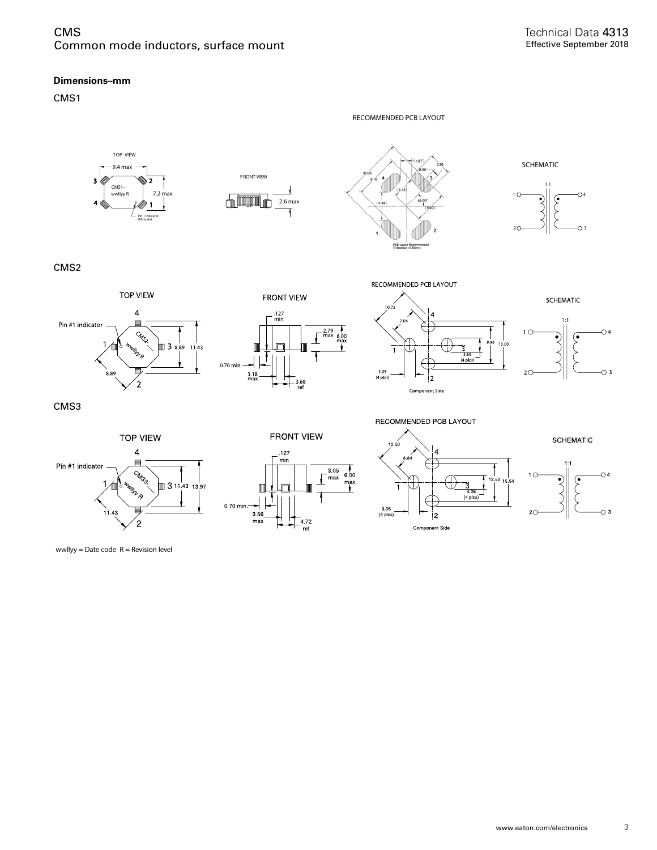#### **Dimensions–mm**

CMS1



wwllyy = Date code  $R$  = Revision level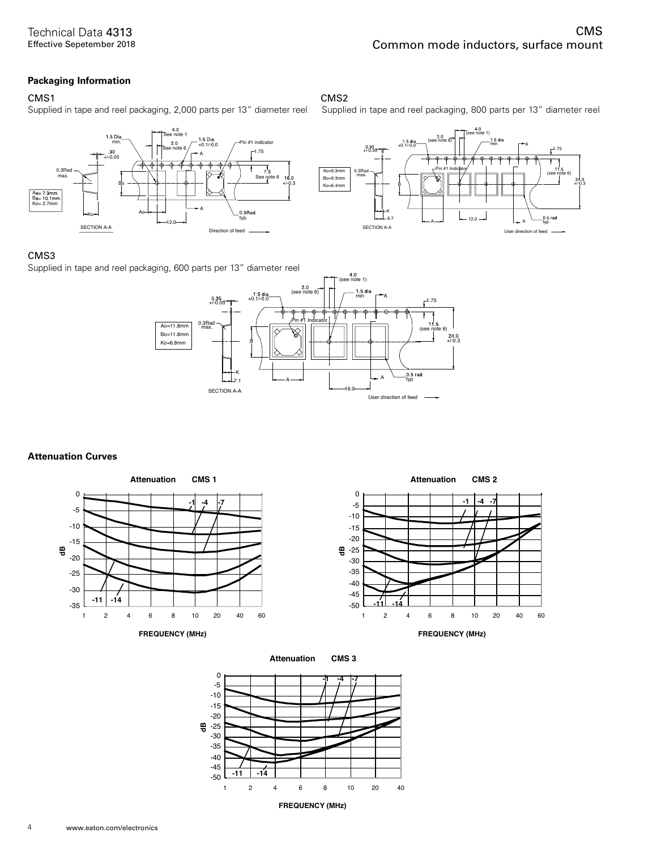#### **Packaging Information**

#### CMS1 CMS2

Supplied in tape and reel packaging, 2,000 parts per 13" diameter reel Supplied in tape and reel packaging, 800 parts per 13" diameter reel





#### CMS3

Supplied in tape and reel packaging, 600 parts per 13" diameter reel



#### **Attenuation Curves**









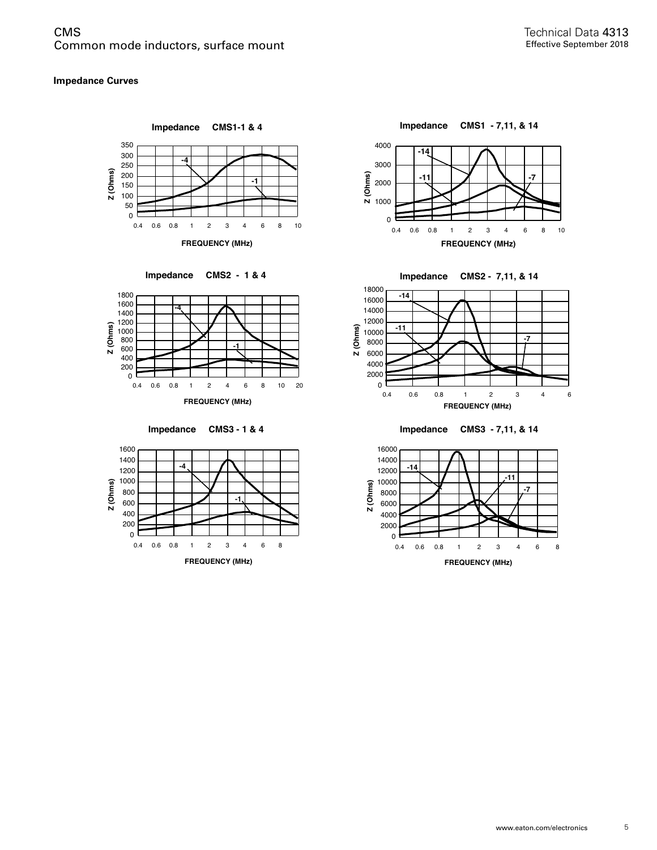#### **Impedance Curves**















**Impedance CMS3 - 7,11, & 14** 

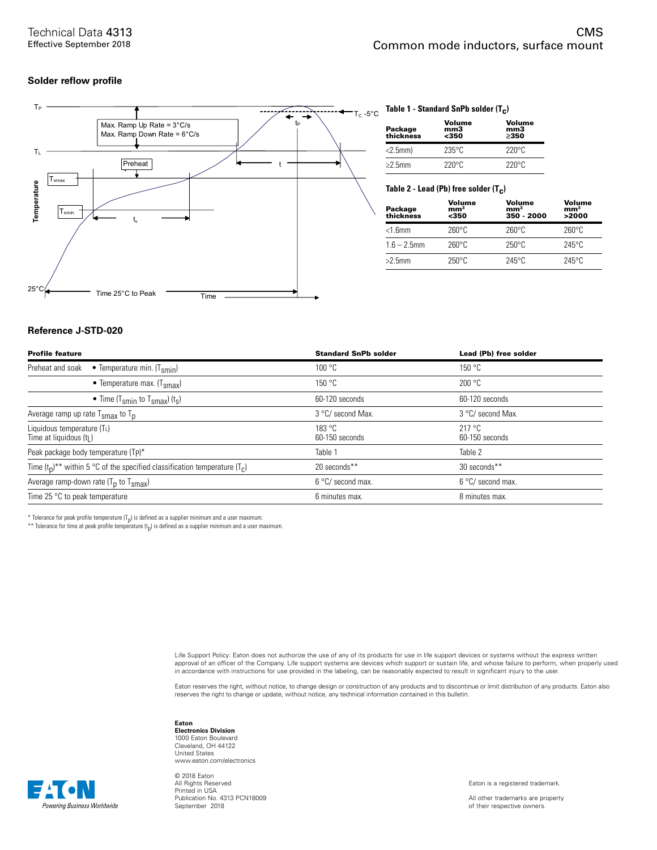#### **Solder reflow profile**



### TC -5°C **Table 1 - Standard SnPb solder (Tc)**

| Package<br>thickness | Volume<br>mm3<br>$350$ | Volume<br>mm <sub>3</sub><br>>350 |
|----------------------|------------------------|-----------------------------------|
| $<$ 2.5mm $)$        | $235^\circ$ C          | $220^{\circ}$ C                   |
| $\geq$ 2.5mm         | $220^{\circ}$ C        | $220^{\circ}$ C                   |

#### Table 2 - Lead (Pb) free solder (T<sub>C</sub>)

| Package<br>thickness | Volume<br>mm <sup>3</sup><br>$350$ | Volume<br>mm <sup>3</sup><br>350 - 2000 | Volume<br>mm <sup>3</sup><br>>2000 |
|----------------------|------------------------------------|-----------------------------------------|------------------------------------|
| $<$ 1.6 $mm$         | $260^\circ C$                      | $260^{\circ}$ C                         | $260^\circ C$                      |
| $1.6 - 2.5$ mm       | $260^\circ C$                      | $250^{\circ}$ C                         | $245^\circ$ C                      |
| $>2.5$ mm            | $250^{\circ}$ C                    | $245^\circ$ C                           | $245^\circ$ C                      |

#### **Reference J-STD-020**

| <b>Profile feature</b>                                                            | <b>Standard SnPb solder</b> | Lead (Pb) free solder       |
|-----------------------------------------------------------------------------------|-----------------------------|-----------------------------|
| • Temperature min. $(T_{smin})$<br>Preheat and soak                               | 100 °C                      | 150 °C                      |
| • Temperature max. $(T_{\text{smax}})$                                            | 150 °C                      | 200 °C                      |
| • Time (T <sub>smin</sub> to T <sub>smax</sub> ) (t <sub>s</sub> )                | 60-120 seconds              | 60-120 seconds              |
| Average ramp up rate $T_{\rm smax}$ to $T_{\rm p}$                                | 3 °C/ second Max.           | 3 °C/ second Max.           |
| Liquidous temperature (TL)<br>Time at liquidous (t <sub>l</sub> )                 | 183 °C<br>60-150 seconds    | $217$ °C.<br>60-150 seconds |
| Peak package body temperature (Tp)*                                               | Table 1                     | Table 2                     |
| Time $(t_0)^{**}$ within 5 °C of the specified classification temperature $(T_c)$ | 20 seconds**                | 30 seconds**                |
| Average ramp-down rate $(T_p$ to $T_{\text{smax}}$ )                              | 6 °C/ second max.           | 6 °C/ second max.           |
| Time 25 $\degree$ C to peak temperature                                           | 6 minutes max.              | 8 minutes max.              |

\* Tolerance for peak profile temperature  $(T_p)$  is defined as a supplier minimum and a user maximum.

\*\* Tolerance for time at peak profile temperature  $(t<sub>p</sub>)$  is defined as a supplier minimum and a user maximum.

Life Support Policy: Eaton does not authorize the use of any of its products for use in life support devices or systems without the express written approval of an officer of the Company. Life support systems are devices which support or sustain life, and whose failure to perform, when properly used in accordance with instructions for use provided in the labeling, can be reasonably expected to result in significant injury to the user.

Eaton reserves the right, without notice, to change design or construction of any products and to discontinue or limit distribution of any products. Eaton also<br>reserves the right to change or update, without notice, any te

**Eaton Electronics Division** 1000 Eaton Boulevard Cleveland, OH 44122 United States www.eaton.com/electronics

© 2018 Eaton All Rights Reserved Printed in USA Publication No. 4313 PCN18009 September 2018

Eaton is a registered trademark.

All other trademarks are property of their respective owners.